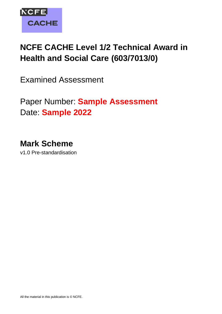

# **NCFE CACHE Level 1/2 Technical Award in Health and Social Care (603/7013/0)**

Examined Assessment

Paper Number: **Sample Assessment** Date: **Sample 2022**

**Mark Scheme** v1.0 Pre-standardisation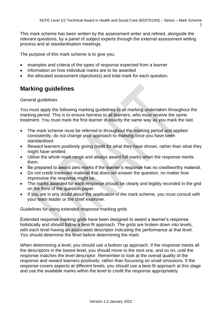This mark scheme has been written by the assessment writer and refined, alongside the relevant questions, by a panel of subject experts through the external assessment writing process and at standardisation meetings.

The purpose of this mark scheme is to give you:

- examples and criteria of the types of response expected from a learner
- information on how individual marks are to be awarded
- the allocated assessment objective(s) and total mark for each question.

# **Marking guidelines**

#### General guidelines

You must apply the following marking guidelines to all marking undertaken throughout the marking period. This is to ensure fairness to all learners, who must receive the same treatment. You must mark the first learner in exactly the same way as you mark the last.

- The mark scheme must be referred to throughout the marking period and applied consistently, do not change your approach to marking once you have been standardised.
- Reward learners positively giving credit for what they have shown, rather than what they might have omitted.
- Utilise the whole mark range and always award full marks when the response merits them.
- Be prepared to award zero marks if the learner's response has no creditworthy material.
- Do not credit irrelevant material that does not answer the question, no matter how impressive the response might be.
- The marks awarded for each response should be clearly and legibly recorded in the grid on the front of the question paper.
- If you are in any doubt about the application of the mark scheme, you must consult with your team leader or the chief examiner.

Guidelines for using extended response marking grids

Extended response marking grids have been designed to award a learner's response holistically and should follow a best-fit approach. The grids are broken down into levels, with each level having an associated descriptor indicating the performance at that level. You should determine the level before determining the mark.

When determining a level, you should use a bottom up approach. If the response meets all the descriptors in the lowest level, you should move to the next one, and so on, until the response matches the level descriptor. Remember to look at the overall quality of the response and reward learners positively, rather than focussing on small omissions. If the response covers aspects at different levels, you should use a best-fit approach at this stage and use the available marks within the level to credit the response appropriately.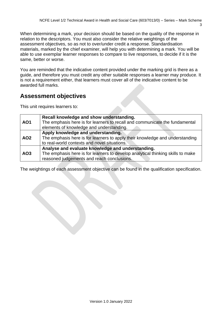When determining a mark, your decision should be based on the quality of the response in relation to the descriptors. You must also consider the relative weightings of the assessment objectives, so as not to over/under credit a response. Standardisation materials, marked by the chief examiner, will help you with determining a mark. You will be able to use exemplar learner responses to compare to live responses, to decide if it is the same, better or worse.

You are reminded that the indicative content provided under the marking grid is there as a guide, and therefore you must credit any other suitable responses a learner may produce. It is not a requirement either, that learners must cover all of the indicative content to be awarded full marks.

# **Assessment objectives**

This unit requires learners to:

|            | Recall knowledge and show understanding.                                        |
|------------|---------------------------------------------------------------------------------|
| <b>AO1</b> | The emphasis here is for learners to recall and communicate the fundamental     |
|            | elements of knowledge and understanding.                                        |
|            | Apply knowledge and understanding.                                              |
| <b>AO2</b> | The emphasis here is for learners to apply their knowledge and understanding    |
|            | to real-world contexts and novel situations.                                    |
|            | Analyse and evaluate knowledge and understanding.                               |
| AO3        | The emphasis here is for learners to develop analytical thinking skills to make |
|            | reasoned judgements and reach conclusions.                                      |

The weightings of each assessment objective can be found in the qualification specification.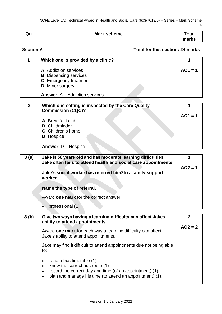| Qu | <b>Mark scheme</b> | Total |
|----|--------------------|-------|
|    |                    | marks |

### **Section A Total for this section: 24 marks**

| 1              | Which one is provided by a clinic?                                                                   |           |
|----------------|------------------------------------------------------------------------------------------------------|-----------|
|                | A: Addiction services<br><b>B:</b> Dispensing services<br>C: Emergency treatment<br>D: Minor surgery | $AO1 = 1$ |
|                | <b>Answer: A – Addiction services</b>                                                                |           |
|                |                                                                                                      |           |
| $\overline{2}$ | Which one setting is inspected by the Care Quality<br><b>Commission (CQC)?</b>                       |           |
|                |                                                                                                      | $AO1 = 1$ |
|                | A: Breakfast club                                                                                    |           |
|                | <b>B:</b> Childminder                                                                                |           |
|                | C: Children's home                                                                                   |           |
|                | <b>D:</b> Hospice                                                                                    |           |
|                | <b>Answer: D - Hospice</b>                                                                           |           |
|                |                                                                                                      |           |
| 3(a)           | Jake is 58 years old and has moderate learning difficulties.                                         | 1         |
|                | Jake often fails to attend health and social care appointments.                                      | $AO2 = 1$ |
|                | Jake's social worker has referred him2to a family support                                            |           |
|                | worker.                                                                                              |           |
|                | Name the type of referral.                                                                           |           |
|                | Award one mark for the correct answer:                                                               |           |
|                | professional (1).                                                                                    |           |

| 3(b) | Give two ways having a learning difficulty can affect Jakes<br>ability to attend appointments.                                                                                    |           |
|------|-----------------------------------------------------------------------------------------------------------------------------------------------------------------------------------|-----------|
|      | Award one mark for each way a learning difficulty can affect<br>Jake's ability to attend appointments.                                                                            | $AO2 = 2$ |
|      | Jake may find it difficult to attend appointments due not being able<br>to:                                                                                                       |           |
|      | read a bus timetable (1)<br>know the correct bus route (1)<br>record the correct day and time (of an appointment) (1)<br>plan and manage his time (to attend an appointment) (1). |           |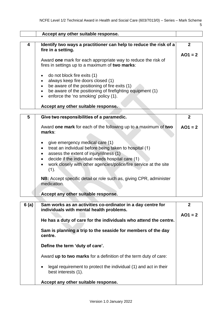|      | Accept any other suitable response.                                                                                                                                                                                                                                  |                           |
|------|----------------------------------------------------------------------------------------------------------------------------------------------------------------------------------------------------------------------------------------------------------------------|---------------------------|
| 4    | Identify two ways a practitioner can help to reduce the risk of a<br>fire in a setting.                                                                                                                                                                              | $\mathbf{2}$              |
|      | Award one mark for each appropriate way to reduce the risk of<br>fires in settings up to a maximum of two marks:                                                                                                                                                     | $AO1 = 2$                 |
|      | do not block fire exits (1)<br>always keep fire doors closed (1)<br>be aware of the positioning of fire exits (1)<br>be aware of the positioning of firefighting equipment (1)<br>enforce the 'no smoking' policy (1).                                               |                           |
|      | Accept any other suitable response.                                                                                                                                                                                                                                  |                           |
| 5    | Give two responsibilities of a paramedic.                                                                                                                                                                                                                            | $\overline{2}$            |
|      | Award one mark for each of the following up to a maximum of two<br>marks:                                                                                                                                                                                            | $AO1 = 2$                 |
|      | give emergency medical care (1)<br>treat an individual before being taken to hospital (1)<br>assess the extent of injury/illness (1)<br>decide if the individual needs hospital care (1)<br>work closely with other agencies/police/fire service at the site<br>(1). |                           |
|      | NB: Accept specific detail or role such as, giving CPR, administer<br>medication.                                                                                                                                                                                    |                           |
|      | Accept any other suitable response.                                                                                                                                                                                                                                  |                           |
| 6(a) | Sam works as an activities co-ordinator in a day centre for<br>individuals with mental health problems.                                                                                                                                                              | $\mathbf{2}$<br>$AO1 = 2$ |
|      | He has a duty of care for the individuals who attend the centre.                                                                                                                                                                                                     |                           |
|      | Sam is planning a trip to the seaside for members of the day<br>centre.                                                                                                                                                                                              |                           |
|      | Define the term 'duty of care'.                                                                                                                                                                                                                                      |                           |
|      | Award up to two marks for a definition of the term duty of care:                                                                                                                                                                                                     |                           |
|      | legal requirement to protect the individual (1) and act in their<br>best interests (1).                                                                                                                                                                              |                           |
|      | Accept any other suitable response.                                                                                                                                                                                                                                  |                           |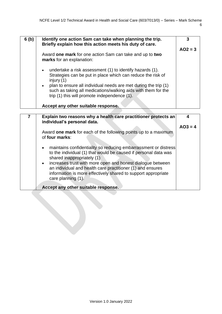| 6(b) | Identify one action Sam can take when planning the trip.<br>Briefly explain how this action meets his duty of care.                                                                                                                                                                                                                                   | 3         |
|------|-------------------------------------------------------------------------------------------------------------------------------------------------------------------------------------------------------------------------------------------------------------------------------------------------------------------------------------------------------|-----------|
|      |                                                                                                                                                                                                                                                                                                                                                       | $AO2 = 3$ |
|      | Award one mark for one action Sam can take and up to two<br>marks for an explanation:                                                                                                                                                                                                                                                                 |           |
|      | undertake a risk assessment (1) to identify hazards (1).<br>$\bullet$<br>Strategies can be put in place which can reduce the risk of<br>injury $(1)$<br>plan to ensure all individual needs are met during the trip (1)<br>$\bullet$<br>such as taking all medications/walking aids with them for the<br>trip (1) this will promote independence (1). |           |
|      | Accept any other suitable response.                                                                                                                                                                                                                                                                                                                   |           |
|      |                                                                                                                                                                                                                                                                                                                                                       |           |
| 7    | Explain two reasons why a health care practitioner protects an<br>individual's personal data.                                                                                                                                                                                                                                                         | 4         |
|      |                                                                                                                                                                                                                                                                                                                                                       | $AO3 = 4$ |
|      | Award one mark for each of the following points up to a maximum<br>of four marks:                                                                                                                                                                                                                                                                     |           |
|      | maintains confidentiality so reducing embarrassment or distress                                                                                                                                                                                                                                                                                       |           |

to the individual (1) that would be caused if personal data was

• increases trust with more open and honest dialogue between an individual and health care practitioner (1) and ensures information is more effectively shared to support appropriate

shared inappropriately (1)

**Accept any other suitable response.**

care planning (1).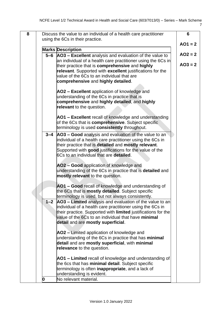| 8 |         | Discuss the value to an individual of a health care practitioner                                                      | 6         |
|---|---------|-----------------------------------------------------------------------------------------------------------------------|-----------|
|   |         | using the 6Cs in their practice.                                                                                      |           |
|   |         |                                                                                                                       | $AO1 = 2$ |
|   |         | <b>Marks Description</b>                                                                                              |           |
|   | 5-6     | AO3 - Excellent analysis and evaluation of the value to                                                               | $AO2 = 2$ |
|   |         | an individual of a health care practitioner using the 6Cs in                                                          | $AO3 = 2$ |
|   |         | their practice that is comprehensive and highly                                                                       |           |
|   |         | relevant. Supported with excellent justifications for the<br>value of the 6Cs to an individual that are               |           |
|   |         | comprehensive and highly detailed.                                                                                    |           |
|   |         |                                                                                                                       |           |
|   |         | AO2 – Excellent application of knowledge and                                                                          |           |
|   |         | understanding of the 6Cs in practice that is                                                                          |           |
|   |         | comprehensive and highly detailed, and highly                                                                         |           |
|   |         | relevant to the question.                                                                                             |           |
|   |         |                                                                                                                       |           |
|   |         | AO1 – Excellent recall of knowledge and understanding                                                                 |           |
|   |         | of the 6Cs that is <b>comprehensive</b> . Subject specific                                                            |           |
|   |         | terminology is used consistently throughout.                                                                          |           |
|   | $3 - 4$ | AO3 – Good analysis and evaluation of the value to an                                                                 |           |
|   |         | individual of a health care practitioner using the 6Cs in                                                             |           |
|   |         | their practice that is detailed and mostly relevant.                                                                  |           |
|   |         | Supported with good justifications for the value of the<br>6Cs to an individual that are detailed.                    |           |
|   |         |                                                                                                                       |           |
|   |         | AO2 - Good application of knowledge and                                                                               |           |
|   |         | understanding of the 6Cs in practice that is detailed and                                                             |           |
|   |         | mostly relevant to the question.                                                                                      |           |
|   |         |                                                                                                                       |           |
|   |         | AO1 – Good recall of knowledge and understanding of                                                                   |           |
|   |         | the 6Cs that is mostly detailed. Subject specific                                                                     |           |
|   |         | terminology is used, but not always consistently.                                                                     |           |
|   | $1 - 2$ | AO3 – Limited analysis and evaluation of the value to an<br>individual of a health care practitioner using the 6Cs in |           |
|   |         | their practice. Supported with <b>limited</b> justifications for the                                                  |           |
|   |         | value of the 6Cs to an individual that have minimal                                                                   |           |
|   |         | detail and are mostly superficial.                                                                                    |           |
|   |         |                                                                                                                       |           |
|   |         | AO2 – Limited application of knowledge and                                                                            |           |
|   |         | understanding of the 6Cs in practice that has minimal                                                                 |           |
|   |         | detail and are mostly superficial, with minimal                                                                       |           |
|   |         | relevance to the question.                                                                                            |           |
|   |         | AO1 – Limited recall of knowledge and understanding of                                                                |           |
|   |         | the 6cs that has minimal detail. Subject specific                                                                     |           |
|   |         | terminology is often <b>inappropriate</b> , and a lack of                                                             |           |
|   |         | understanding is evident.                                                                                             |           |
|   | 0       | No relevant material.                                                                                                 |           |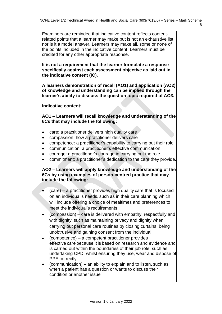| Examiners are reminded that indicative content reflects content-<br>related points that a learner may make but is not an exhaustive list,<br>nor is it a model answer. Learners may make all, some or none of<br>the points included in the indicative content. Learners must be<br>credited for any other appropriate response.                                                                                                                                                                                                                          |  |
|-----------------------------------------------------------------------------------------------------------------------------------------------------------------------------------------------------------------------------------------------------------------------------------------------------------------------------------------------------------------------------------------------------------------------------------------------------------------------------------------------------------------------------------------------------------|--|
| It is not a requirement that the learner formulate a response<br>specifically against each assessment objective as laid out in<br>the indicative content (IC).                                                                                                                                                                                                                                                                                                                                                                                            |  |
| A learners demonstration of recall (AO1) and application (AO2)<br>of knowledge and understanding can be implied through the<br>learner's ability to discuss the question topic required of AO3.                                                                                                                                                                                                                                                                                                                                                           |  |
| Indicative content:                                                                                                                                                                                                                                                                                                                                                                                                                                                                                                                                       |  |
| AO1 - Learners will recall knowledge and understanding of the<br>6Cs that may include the following:                                                                                                                                                                                                                                                                                                                                                                                                                                                      |  |
| care: a practitioner delivers high quality care<br>compassion: how a practitioner delivers care<br>$\bullet$<br>competence: a practitioner's capability to carrying out their role<br>communication: a practitioner's effective communication<br>$\bullet$<br>courage: a practitioner's courage in carrying out the role<br>$\bullet$<br>commitment: a practitioner's dedication to the care they provide.<br>$\bullet$                                                                                                                                   |  |
| AO2 - Learners will apply knowledge and understanding of the<br>6Cs by using examples of person-centred practice that may<br>include the following:                                                                                                                                                                                                                                                                                                                                                                                                       |  |
| (care) – a practitioner provides high quality care that is focused<br>on an individual's needs, such as in their care planning which<br>will include offering a choice of mealtimes and preferences to<br>meet the individual's requirements                                                                                                                                                                                                                                                                                                              |  |
| $(compassion)$ – care is delivered with empathy, respectfully and<br>with dignity, such as maintaining privacy and dignity when<br>carrying out personal care routines by closing curtains, being<br>unobtrusive and gaining consent from the individual<br>(competence) – a competent practitioner provides<br>$\bullet$<br>effective care because it is based on research and evidence and<br>is carried out within the boundaries of their job role, such as<br>undertaking CPD, whilst ensuring they use, wear and dispose of<br><b>PPE</b> correctly |  |
| (communication) – an ability to explain and to listen, such as<br>when a patient has a question or wants to discuss their<br>condition or another issue                                                                                                                                                                                                                                                                                                                                                                                                   |  |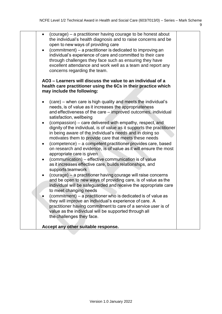| $\bullet$ | (courage) – a practitioner having courage to be honest about<br>the individual's health diagnosis and to raise concerns and be<br>open to new ways of providing care<br>(commitment) – a practitioner is dedicated to improving an<br>individual's experience of care and committed to their care<br>through challenges they face such as ensuring they have<br>excellent attendance and work well as a team and report any<br>concerns regarding the team.                                                                                                                                                                                                                                                                                                                                                                                                                                                                                                                                                                                                                                                                                                                                                                                                                                                   |  |
|-----------|---------------------------------------------------------------------------------------------------------------------------------------------------------------------------------------------------------------------------------------------------------------------------------------------------------------------------------------------------------------------------------------------------------------------------------------------------------------------------------------------------------------------------------------------------------------------------------------------------------------------------------------------------------------------------------------------------------------------------------------------------------------------------------------------------------------------------------------------------------------------------------------------------------------------------------------------------------------------------------------------------------------------------------------------------------------------------------------------------------------------------------------------------------------------------------------------------------------------------------------------------------------------------------------------------------------|--|
|           | AO3 – Learners will discuss the value to an individual of a<br>health care practitioner using the 6Cs in their practice which<br>may include the following:                                                                                                                                                                                                                                                                                                                                                                                                                                                                                                                                                                                                                                                                                                                                                                                                                                                                                                                                                                                                                                                                                                                                                   |  |
| $\bullet$ | (care) – when care is high quality and meets the individual's<br>needs, is of value as it increases the appropriateness<br>and effectiveness of the care - improved outcomes, individual<br>satisfaction, wellbeing<br>(compassion) – care delivered with empathy, respect, and<br>dignity of the individual, is of value as it supports the practitioner<br>in being aware of the individual's needs and in doing so<br>motivates them to provide care that meets these needs<br>(competence) - a competent practitioner provides care, based<br>on research and evidence, is of value as it will ensure the most<br>appropriate care is given<br>(communication) – effective communication is of value<br>as it increases effective care, builds relationships, and<br>supports teamwork<br>(courage) - a practitioner having courage will raise concerns<br>and be open to new ways of providing care, is of value as the<br>individual will be safeguarded and receive the appropriate care<br>to meet changing needs<br>(commitment) – a practitioner who is dedicated is of value as<br>they will improve an individual's experience of care. A<br>practitioner having commitment to care of a service user is of<br>value as the individual will be supported through all<br>the challenges they face. |  |
|           | Accept any other suitable response.                                                                                                                                                                                                                                                                                                                                                                                                                                                                                                                                                                                                                                                                                                                                                                                                                                                                                                                                                                                                                                                                                                                                                                                                                                                                           |  |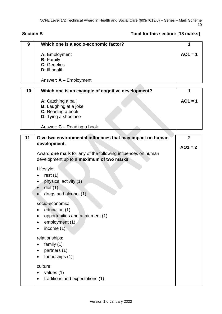## Section B **Section B Total for this section:** [18 marks]

| 9  | Which one is a socio-economic factor?                       | 1              |
|----|-------------------------------------------------------------|----------------|
|    | A: Employment                                               | $AO1 = 1$      |
|    | <b>B:</b> Family                                            |                |
|    | C: Genetics                                                 |                |
|    | D: III health                                               |                |
|    | Answer: $A -$ Employment                                    |                |
|    |                                                             |                |
| 10 | Which one is an example of cognitive development?           | 1              |
|    | A: Catching a ball                                          | $AO1 = 1$      |
|    | <b>B:</b> Laughing at a joke                                |                |
|    | C: Reading a book                                           |                |
|    | <b>D:</b> Tying a shoelace                                  |                |
|    | Answer: $C -$ Reading a book                                |                |
|    |                                                             |                |
| 11 | Give two environmental influences that may impact on human  | $\overline{2}$ |
|    | development.                                                | $AO1 = 2$      |
|    | Award one mark for any of the following influences on human |                |
|    | development up to a maximum of two marks:                   |                |
|    |                                                             |                |
|    | Lifestyle:                                                  |                |
|    | rest $(1)$                                                  |                |
|    | physical activity (1)                                       |                |
|    | diet $(1)$                                                  |                |
|    |                                                             |                |
|    | drugs and alcohol (1).                                      |                |
|    | socio-economic:                                             |                |
|    | education (1)                                               |                |
|    | opportunities and attainment (1)                            |                |
|    | employment (1)                                              |                |
|    | income $(1)$ .                                              |                |
|    |                                                             |                |
|    | relationships:                                              |                |
|    | family (1)                                                  |                |
|    | partners (1)                                                |                |
|    | friendships (1).                                            |                |
|    |                                                             |                |
|    | culture:                                                    |                |
|    | values (1)                                                  |                |
|    | traditions and expectations (1).                            |                |
|    |                                                             |                |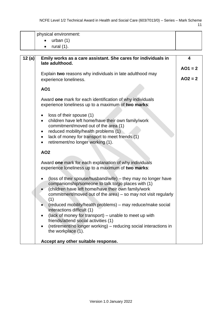| physical environment:                                                                                            |           |
|------------------------------------------------------------------------------------------------------------------|-----------|
| urban $(1)$                                                                                                      |           |
| rural $(1)$ .<br>$\bullet$                                                                                       |           |
|                                                                                                                  |           |
| 12(a)<br>Emily works as a care assistant. She cares for individuals in                                           | 4         |
| late adulthood.                                                                                                  | $AO1 = 2$ |
| Explain two reasons why individuals in late adulthood may                                                        |           |
| experience loneliness.                                                                                           | $AO2 = 2$ |
|                                                                                                                  |           |
| <b>AO1</b>                                                                                                       |           |
| Award one mark for each identification of why individuals<br>experience loneliness up to a maximum of two marks: |           |
| loss of their spouse (1)                                                                                         |           |
| children have left home/have their own family/work                                                               |           |
| commitment/moved out of the area (1)                                                                             |           |
| reduced mobility/health problems (1)<br>٠                                                                        |           |
| lack of money for transport to meet friends (1)<br>$\bullet$<br>retirement/no longer working (1).<br>$\bullet$   |           |
|                                                                                                                  |           |
| <b>AO2</b>                                                                                                       |           |
| Award one mark for each explanation of why individuals<br>experience loneliness up to a maximum of two marks:    |           |
| (loss of their spouse/husband/wife) – they may no longer have                                                    |           |
| companionship/someone to talk to/go places with (1)                                                              |           |
| (children have left home/have their own family/work                                                              |           |
| commitment/moved out of the area) $-$ so may not visit regularly<br>(1)                                          |           |
| (reduced mobility/health problems) – may reduce/make social                                                      |           |
| interactions difficult (1)                                                                                       |           |
| (lack of money for transport) – unable to meet up with<br>٠                                                      |           |
| friends/attend social activities (1)                                                                             |           |
| (retirement/no longer working) - reducing social interactions in<br>the workplace (1).                           |           |
|                                                                                                                  |           |
| Accept any other suitable response.                                                                              |           |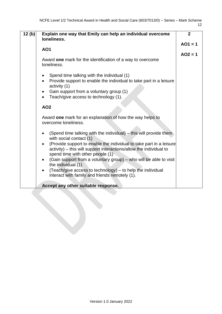| 12(b) | Explain one way that Emily can help an individual overcome<br>loneliness.                                                                                                                                                                                                                                                                                                                                                                                                                                                       | $\mathbf{2}$           |
|-------|---------------------------------------------------------------------------------------------------------------------------------------------------------------------------------------------------------------------------------------------------------------------------------------------------------------------------------------------------------------------------------------------------------------------------------------------------------------------------------------------------------------------------------|------------------------|
|       | <b>AO1</b>                                                                                                                                                                                                                                                                                                                                                                                                                                                                                                                      | $AO1 = 1$<br>$AO2 = 1$ |
|       | Award one mark for the identification of a way to overcome<br>loneliness.                                                                                                                                                                                                                                                                                                                                                                                                                                                       |                        |
|       | Spend time talking with the individual (1)<br>٠<br>Provide support to enable the individual to take part in a leisure<br>activity (1)<br>Gain support from a voluntary group (1)<br>$\bullet$<br>Teach/give access to technology (1).<br>$\bullet$                                                                                                                                                                                                                                                                              |                        |
|       | <b>AO2</b>                                                                                                                                                                                                                                                                                                                                                                                                                                                                                                                      |                        |
|       | Award one mark for an explanation of how the way helps to<br>overcome loneliness.                                                                                                                                                                                                                                                                                                                                                                                                                                               |                        |
|       | (Spend time talking with the individual) – this will provide them<br>$\bullet$<br>with social contact (1)<br>(Provide support to enable the individual to take part in a leisure<br>activity) - this will support interactions/allow the individual to<br>spend time with other people (1)<br>(Gain support from a voluntary group) – who will be able to visit<br>$\bullet$<br>the individual (1)<br>(Teach/give access to technology) - to help the individual<br>$\bullet$<br>interact with family and friends remotely (1). |                        |
|       | Accept any other suitable response.                                                                                                                                                                                                                                                                                                                                                                                                                                                                                             |                        |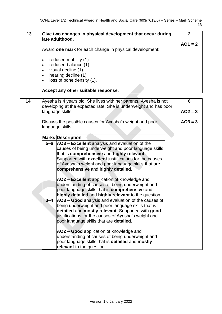| 13 | Give two changes in physical development that occur during<br>late adulthood.                                                                                                          |           |
|----|----------------------------------------------------------------------------------------------------------------------------------------------------------------------------------------|-----------|
|    | Award one mark for each change in physical development:                                                                                                                                | $AO1 = 2$ |
|    | reduced mobility (1)<br>$\bullet$<br>reduced balance (1)<br>$\bullet$<br>visual decline (1)<br>$\bullet$<br>hearing decline (1)<br>$\bullet$<br>loss of bone density (1).<br>$\bullet$ |           |
|    | Accept any other suitable response.                                                                                                                                                    |           |

| 14 |         | Ayesha is 4 years old. She lives with her parents. Ayesha is not<br>developing at the expected rate. She is underweight and has poor                                                                                                                                                                                                                                                                                                                                                                      | 6         |
|----|---------|-----------------------------------------------------------------------------------------------------------------------------------------------------------------------------------------------------------------------------------------------------------------------------------------------------------------------------------------------------------------------------------------------------------------------------------------------------------------------------------------------------------|-----------|
|    |         | language skills.                                                                                                                                                                                                                                                                                                                                                                                                                                                                                          | $AO2 = 3$ |
|    |         | Discuss the possible causes for Ayesha's weight and poor<br>language skills.                                                                                                                                                                                                                                                                                                                                                                                                                              | $AO3 = 3$ |
|    |         | <b>Marks Description</b>                                                                                                                                                                                                                                                                                                                                                                                                                                                                                  |           |
|    | $5 - 6$ | AO3 - Excellent analysis and evaluation of the<br>causes of being underweight and poor language skills<br>that is comprehensive and highly relevant.<br>Supported with excellent justifications for the causes<br>of Ayesha's weight and poor language skills that are<br>comprehensive and highly detailed.<br>AO2 - Excellent application of knowledge and<br>understanding of causes of being underweight and<br>poor language skills that is comprehensive and                                        |           |
|    | $3 - 4$ | highly detailed and highly relevant to the question.<br>AO3 - Good analysis and evaluation of the causes of<br>being underweight and poor language skills that is<br>detailed and mostly relevant. Supported with good<br>justifications for the causes of Ayesha's weight and<br>poor language skills that are detailed.<br>AO2 - Good application of knowledge and<br>understanding of causes of being underweight and<br>poor language skills that is detailed and mostly<br>relevant to the question. |           |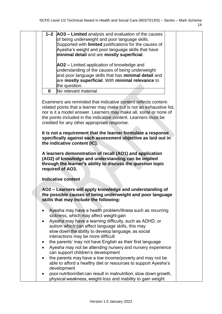| $1 - 2$                | AO3 - Limited analysis and evaluation of the causes<br>of being underweight and poor language skills.<br>Supported with limited justifications for the causes of<br>Ayesha's weight and poor language skills that have<br>minimal detail and are mostly superficial.                                                             |  |
|------------------------|----------------------------------------------------------------------------------------------------------------------------------------------------------------------------------------------------------------------------------------------------------------------------------------------------------------------------------|--|
|                        | AO2 - Limited application of knowledge and<br>understanding of the causes of being underweight<br>and poor language skills that has minimal detail and<br>are mostly superficial. With minimal relevance to<br>the question.                                                                                                     |  |
| 0                      | No relevant material.                                                                                                                                                                                                                                                                                                            |  |
|                        | Examiners are reminded that indicative content reflects content-<br>related points that a learner may make but is not an exhaustive list,<br>nor is it a model answer. Learners may make all, some or none of<br>the points included in the indicative content. Learners must be<br>credited for any other appropriate response. |  |
|                        | It is not a requirement that the learner formulate a response<br>specifically against each assessment objective as laid out in<br>the indicative content (IC).                                                                                                                                                                   |  |
|                        | A learners demonstration of recall (AO1) and application<br>(AO2) of knowledge and understanding can be implied<br>through the learner's ability to discuss the question topic<br>required of AO3.                                                                                                                               |  |
|                        | <b>Indicative content</b>                                                                                                                                                                                                                                                                                                        |  |
|                        | AO2 - Learners will apply knowledge and understanding of<br>the possible causes of being underweight and poor language<br>skills that may include the following:                                                                                                                                                                 |  |
| $\bullet$<br>$\bullet$ | Ayesha may have a health problem/illness such as recurring<br>sickness, which may affect weight gain<br>Ayesha may have a learning difficulty, such as ADHD, or<br>autism which can affect language skills, this may<br>slow down the ability to develop language, as social<br>interactions may be more difficult               |  |
| $\bullet$<br>٠         | the parents' may not have English as their first language<br>Ayesha may not be attending nursery and nursery experience                                                                                                                                                                                                          |  |
| ٠                      | can support children's development<br>the parents may have a low income/poverty and may not be<br>able to afford a healthy diet or resources to support Ayesha's                                                                                                                                                                 |  |
|                        | development<br>poor nutrition/diet can result in malnutrition, slow down growth,<br>physical weakness, weight-loss and inability to gain weight                                                                                                                                                                                  |  |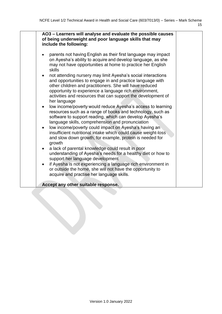| AO3 - Learners will analyse and evaluate the possible causes<br>of being underweight and poor language skills that may<br>include the following:                                                                                                                                                                                            |
|---------------------------------------------------------------------------------------------------------------------------------------------------------------------------------------------------------------------------------------------------------------------------------------------------------------------------------------------|
| parents not having English as their first language may impact<br>on Ayesha's ability to acquire and develop language, as she<br>may not have opportunities at home to practice her English<br>skills                                                                                                                                        |
| not attending nursery may limit Ayesha's social interactions<br>$\bullet$<br>and opportunities to engage in and practice language with<br>other children and practitioners. She will have reduced<br>opportunity to experience a language rich environment,<br>activities and resources that can support the development of<br>her language |
| low income/poverty would reduce Ayesha's access to learning<br>$\bullet$<br>resources such as a range of books and technology, such as<br>software to support reading, which can develop Ayesha's<br>language skills, comprehension and pronunciation                                                                                       |
| low income/poverty could impact on Ayesha's having an<br>$\bullet$<br>insufficient nutritional intake which could cause weight-loss<br>and slow down growth, for example, protein is needed for<br>growth                                                                                                                                   |
| a lack of parental knowledge could result in poor<br>$\bullet$<br>understanding of Ayesha's needs for a healthy diet or how to<br>support her language development                                                                                                                                                                          |
| if Ayesha is not experiencing a language rich environment in<br>$\bullet$<br>or outside the home, she will not have the opportunity to<br>acquire and practise her language skills.                                                                                                                                                         |
| Accept any other suitable response.                                                                                                                                                                                                                                                                                                         |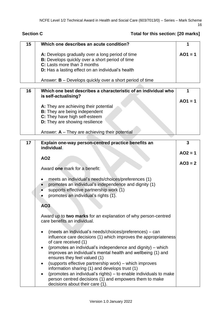#### **Section C Total for this section: [20 marks]**

| 15 | Which one describes an acute condition?                                                                                                                                                                      |           |
|----|--------------------------------------------------------------------------------------------------------------------------------------------------------------------------------------------------------------|-----------|
|    | A: Develops gradually over a long period of time<br><b>B:</b> Develops quickly over a short period of time<br>C: Lasts more than 3 months                                                                    | $AO1 = 1$ |
|    | D: Has a lasting effect on an individual's health                                                                                                                                                            |           |
|    | Answer: $B -$ Develops quickly over a short period of time                                                                                                                                                   |           |
| 16 | Which one best describes a characteristic of an individual who                                                                                                                                               |           |
|    | is self-actualising?                                                                                                                                                                                         | $AO1 = 1$ |
|    | A: They are achieving their potential                                                                                                                                                                        |           |
|    | <b>B:</b> They are being independent<br>C: They have high self-esteem                                                                                                                                        |           |
|    | <b>D:</b> They are showing resilience                                                                                                                                                                        |           |
|    |                                                                                                                                                                                                              |           |
|    | Answer: $A -$ They are achieving their potential                                                                                                                                                             |           |
| 17 | Explain one-way person-centred practice benefits an                                                                                                                                                          | 3         |
|    | individual.                                                                                                                                                                                                  |           |
|    | <b>AO2</b>                                                                                                                                                                                                   | $AO2 = 1$ |
|    |                                                                                                                                                                                                              | $AO3 = 2$ |
|    | Award one mark for a benefit:                                                                                                                                                                                |           |
|    | meets an individual's needs/choices/preferences (1)<br>promotes an individual's independence and dignity (1)<br>$\bullet$<br>supports effective partnership work (1)<br>promotes an individual's rights (1). |           |
|    | AO3                                                                                                                                                                                                          |           |
|    | Award up to two marks for an explanation of why person-centred<br>care benefits an individual.                                                                                                               |           |
|    | (meets an individual's needs/choices/preferences) – can<br>influence care decisions (1) which improves the appropriateness<br>of care received (1)                                                           |           |
|    | (promotes an individual's independence and dignity) – which<br>improves an individual's mental health and wellbeing (1) and<br>ensures they feel valued (1)                                                  |           |

- (supports effective partnership work) which improves information sharing (1) and develops trust (1)
- (promotes an individual's rights) to enable individuals to make person centred decisions  $(1)$  and empowers them to make decisions about their care (1).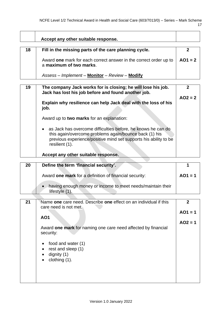<u> 1980 - Johann Barbara, martxa a</u>

 $\overline{\phantom{a}}$ 

|    | Accept any other suitable response.                                                                                                                                                                          |                |  |
|----|--------------------------------------------------------------------------------------------------------------------------------------------------------------------------------------------------------------|----------------|--|
|    |                                                                                                                                                                                                              | $\mathbf{2}$   |  |
| 18 | Fill in the missing parts of the care planning cycle.                                                                                                                                                        |                |  |
|    | Award one mark for each correct answer in the correct order up to<br>a maximum of two marks.                                                                                                                 | $AO1 = 2$      |  |
|    | Assess - Implement - Monitor - Review - Modify                                                                                                                                                               |                |  |
|    |                                                                                                                                                                                                              | $\overline{2}$ |  |
|    | 19<br>The company Jack works for is closing; he will lose his job.<br>Jack has lost his job before and found another job.                                                                                    |                |  |
|    | Explain why resilience can help Jack deal with the loss of his<br>job.                                                                                                                                       | $AO2 = 2$      |  |
|    | Award up to two marks for an explanation:                                                                                                                                                                    |                |  |
|    | as Jack has overcome difficulties before, he knows he can do<br>this again/overcome problems again/bounce back (1) his<br>previous experience/positive mind set supports his ability to be<br>resilient (1). |                |  |
|    | Accept any other suitable response.                                                                                                                                                                          |                |  |
|    |                                                                                                                                                                                                              |                |  |
|    |                                                                                                                                                                                                              |                |  |
| 20 | Define the term 'financial security'.                                                                                                                                                                        | 1              |  |
|    | Award one mark for a definition of financial security:                                                                                                                                                       | $AO1 = 1$      |  |
|    | having enough money or income to meet needs/maintain their                                                                                                                                                   |                |  |
|    | lifestyle (1).                                                                                                                                                                                               |                |  |
| 21 | Name one care need. Describe one effect on an individual if this                                                                                                                                             | $\mathbf{2}$   |  |
|    | care need is not met.                                                                                                                                                                                        |                |  |
|    | <b>AO1</b>                                                                                                                                                                                                   | $AO1 = 1$      |  |
|    |                                                                                                                                                                                                              | $AO2 = 1$      |  |
|    | Award one mark for naming one care need affected by financial<br>security:                                                                                                                                   |                |  |
|    |                                                                                                                                                                                                              |                |  |
|    | food and water (1)                                                                                                                                                                                           |                |  |
|    | rest and sleep (1)<br>dignity $(1)$                                                                                                                                                                          |                |  |
|    | clothing (1).                                                                                                                                                                                                |                |  |
|    |                                                                                                                                                                                                              |                |  |
|    |                                                                                                                                                                                                              |                |  |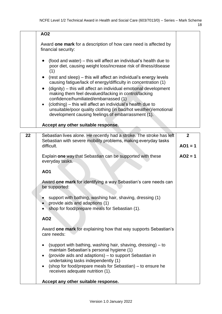|    | <b>AO2</b>                                                                                                                                                                                        |                |
|----|---------------------------------------------------------------------------------------------------------------------------------------------------------------------------------------------------|----------------|
|    | Award one mark for a description of how care need is affected by<br>financial security:                                                                                                           |                |
|    | (food and water) – this will affect an individual's health due to<br>poor diet, causing weight loss/increase risk of illness/disease<br>(1)                                                       |                |
|    | (rest and sleep) – this will affect an individual's energy levels<br>causing fatigue/lack of energy/difficulty in concentration (1)                                                               |                |
|    | (dignity) – this will affect an individual emotional development<br>$\bullet$<br>making them feel devalued/lacking in control/lacking<br>confidence/humiliated/embarrassed (1)                    |                |
|    | (clothing) – this will affect an individual's health due to<br>$\bullet$<br>unsuitable/poor quality clothing (in bad/hot weather)/emotional<br>development causing feelings of embarrassment (1). |                |
|    | Accept any other suitable response.                                                                                                                                                               |                |
| 22 | Sebastian lives alone. He recently had a stroke. The stroke has left                                                                                                                              | $\overline{2}$ |
|    | Sebastian with severe mobility problems, making everyday tasks<br>difficult.                                                                                                                      | $AO1 = 1$      |
|    | Explain one way that Sebastian can be supported with these<br>everyday tasks.                                                                                                                     | $AO2 = 1$      |
|    | <b>AO1</b>                                                                                                                                                                                        |                |
|    | Award one mark for identifying a way Sebastian's care needs can<br>be supported:                                                                                                                  |                |
|    | support with bathing, washing hair, shaving, dressing (1)<br>provide aids and adaptions (1)<br>shop for food/prepare meals for Sebastian (1).                                                     |                |
|    | <b>AO2</b>                                                                                                                                                                                        |                |
|    | Award one mark for explaining how that way supports Sebastian's<br>care needs:                                                                                                                    |                |
|    | (support with bathing, washing hair, shaving, dressing) – to<br>maintain Sebastian's personal hygiene (1)                                                                                         |                |
|    | (provide aids and adaptions) - to support Sebastian in<br>$\bullet$<br>undertaking tasks independently (1)                                                                                        |                |
|    | (shop for food/prepare meals for Sebastian) – to ensure he<br>$\bullet$<br>receives adequate nutrition (1).                                                                                       |                |
|    | Accept any other suitable response.                                                                                                                                                               |                |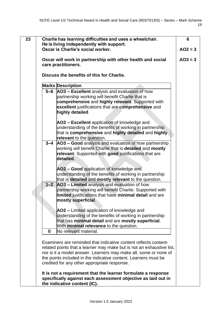**23 Charlie has learning difficulties and uses a wheelchair.  He is living independently with support.  Oscar is Charlie's social worker. Oscar will work in partnership with other health and social care practitioners. Discuss the benefits of this for Charlie. Marks Description 5–6 AO3 – Excellent** analysis and evaluation of how partnership working will benefit Charlie that is **comprehensive** and **highly relevant**. Supported with **excellent** justifications that are **comprehensive** and **highly detailed**. **AO2 – Excellent** application of knowledge and understanding of the benefits of working in partnership that is **comprehensive** and **highly detailed** and **highly relevant** to the question. **3–4 AO3 – Good** analysis and evaluation of how partnership working will benefit Charlie that is **detailed** and **mostly relevant**. Supported with **good** justifications that are **detailed**. **AO2 – Good** application of knowledge and understanding of the benefits of working in partnership that is **detailed** and **mostly relevant** to the question. **1–2 AO3 – Limited** analysis and evaluation of how partnership working will benefit Charlie. Supported with **limited** justifications that have **minimal detail** and are **mostly superficial**. **AO2 –** Limited application of knowledge and understanding of the benefits of working in partnership that has **minimal detail** and are **mostly superficial**. With **minimal relevance** to the question. **0** No relevant material. Examiners are reminded that indicative content reflects contentrelated points that a learner may make but is not an exhaustive list, nor is it a model answer. Learners may make all, some or none of the points included in the indicative content. Learners must be credited for any other appropriate response. **It is not a requirement that the learner formulate a response specifically against each assessment objective as laid out in 6 AO2 = 3**  $AO3 = 3$ 

**the indicative content (IC).**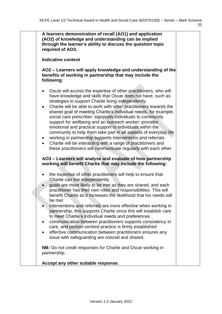|           | (AO2) of knowledge and understanding can be implied<br>through the learner's ability to discuss the question topic<br>required of AO3.                                                                                                                                                                                                                                                                                                                                                                                                                                                                                                                                                                                                                                                    |
|-----------|-------------------------------------------------------------------------------------------------------------------------------------------------------------------------------------------------------------------------------------------------------------------------------------------------------------------------------------------------------------------------------------------------------------------------------------------------------------------------------------------------------------------------------------------------------------------------------------------------------------------------------------------------------------------------------------------------------------------------------------------------------------------------------------------|
|           | <b>Indicative content</b>                                                                                                                                                                                                                                                                                                                                                                                                                                                                                                                                                                                                                                                                                                                                                                 |
|           | AO2 – Learners will apply knowledge and understanding of the<br>benefits of working in partnership that may include the<br>following:                                                                                                                                                                                                                                                                                                                                                                                                                                                                                                                                                                                                                                                     |
| $\bullet$ | Oscar will access the expertise of other practitioners, who will<br>have knowledge and skills that Oscar does not have, such as<br>strategies to support Charlie living independently<br>Charlie will be able to work with other practitioners towards the<br>shared goal of meeting Charlie's individual needs, for example,<br>social care prescriber: signposts individuals to community<br>support for wellbeing and an outreach worker: provides<br>emotional and practical support to individuals within the<br>community to help them take part in all aspects of everyday life<br>working in partnership supports interventions and referrals<br>Charlie will be interacting with a range of practitioners and<br>these practitioners will communicate regularly with each other. |
|           | AO3 – Learners will analyse and evaluate of how partnership<br>working will benefit Charlie that may include the following:                                                                                                                                                                                                                                                                                                                                                                                                                                                                                                                                                                                                                                                               |
| $\bullet$ | the expertise of other practitioners will help to ensure that<br>Charlie can live independently<br>goals are more likely to be met as they are shared, and each<br>practitioner has their own roles and responsibilities. This will<br>benefit Charlie as it increases the likelihood that his needs will<br>be met<br>interventions and referrals are more effective when working in<br>partnership, this supports Charlie since this will establish care<br>to meet Charlie's individual needs and preferences                                                                                                                                                                                                                                                                          |
| ٠         | communication between practitioners supports consistency in<br>care, and person-centred practice is firmly established<br>effective communication between practitioners ensures any<br>issue with safeguarding are noticed and shared.                                                                                                                                                                                                                                                                                                                                                                                                                                                                                                                                                    |
|           | <b>NB:</b> Do not credit responses for Charlie and Oscar working in                                                                                                                                                                                                                                                                                                                                                                                                                                                                                                                                                                                                                                                                                                                       |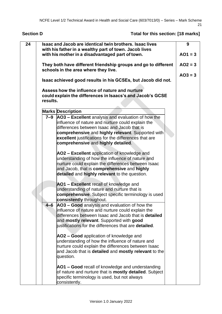| 24 |          | Isaac and Jacob are identical twin brothers. Isaac lives<br>with his father in a wealthy part of town. Jacob lives                                                                                                                                                                                         | 9         |
|----|----------|------------------------------------------------------------------------------------------------------------------------------------------------------------------------------------------------------------------------------------------------------------------------------------------------------------|-----------|
|    |          | with his mother in a disadvantaged part of town.                                                                                                                                                                                                                                                           | $AO1 = 3$ |
|    |          | They both have different friendship groups and go to different<br>schools in the area where they live.                                                                                                                                                                                                     | $AO2 = 3$ |
|    |          | Isaac achieved good results in his GCSEs, but Jacob did not.                                                                                                                                                                                                                                               | $AO3 = 3$ |
|    | results. | Assess how the influence of nature and nurture<br>could explain the differences in Isaacs's and Jacob's GCSE                                                                                                                                                                                               |           |
|    |          | <b>Marks Description</b>                                                                                                                                                                                                                                                                                   |           |
|    | $7-9$    | AO3 - Excellent analysis and evaluation of how the<br>influence of nature and nurture could explain the<br>differences between Isaac and Jacob that is<br>comprehensive and highly relevant. Supported with<br>excellent justifications for the differences that are<br>comprehensive and highly detailed. |           |
|    |          | AO2 - Excellent application of knowledge and<br>understanding of how the influence of nature and<br>nurture could explain the differences between Isaac<br>and Jacob, that is comprehensive and highly<br>detailed and highly relevant to the question.                                                    |           |
|    |          | AO1 - Excellent recall of knowledge and<br>understanding of nature and nurture that is<br>comprehensive. Subject specific terminology is used<br>consistently throughout.                                                                                                                                  |           |
|    | 4–6      | AO3 - Good analysis and evaluation of how the<br>influence of nature and nurture could explain the<br>differences between Isaac and Jacob that is detailed<br>and mostly relevant. Supported with good<br>justifications for the differences that are <b>detailed</b> .                                    |           |
|    |          | AO2 - Good application of knowledge and<br>understanding of how the influence of nature and<br>nurture could explain the differences between Isaac<br>and Jacob that is <b>detailed</b> and <b>mostly relevant</b> to the<br>question.                                                                     |           |
|    |          | AO1 – Good recall of knowledge and understanding<br>of nature and nurture that is <b>mostly detailed</b> . Subject<br>specific terminology is used, but not always<br>consistently.                                                                                                                        |           |

### **Section D Total for this section: [18 marks]**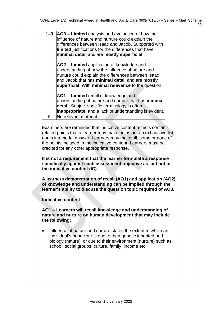|           | 1-3 AO3 - Limited analysis and evaluation of how the<br>influence of nature and nurture could explain the<br>differences between Isaac and Jacob. Supported with<br>limited justifications for the differences that have<br>minimal detail and are mostly superficial.                                                           |  |
|-----------|----------------------------------------------------------------------------------------------------------------------------------------------------------------------------------------------------------------------------------------------------------------------------------------------------------------------------------|--|
|           | AO2 – Limited application of knowledge and<br>understanding of how the influence of nature and<br>nurture could explain the differences between Isaac<br>and Jacob that has minimal detail and are mostly<br>superficial. With minimal relevance to the question.                                                                |  |
|           | AO1 - Limited recall of knowledge and<br>understanding of nature and nurture that has minimal<br>detail. Subject specific terminology is often<br>inappropriate, and a lack of understanding is evident.<br>No relevant material.<br>$\bf{0}$                                                                                    |  |
|           | Examiners are reminded that indicative content reflects content-<br>related points that a learner may make but is not an exhaustive list,<br>nor is it a model answer. Learners may make all, some or none of<br>the points included in the indicative content. Learners must be<br>credited for any other appropriate response. |  |
|           | It is not a requirement that the learner formulate a response<br>specifically against each assessment objective as laid out in<br>the indicative content (IC).                                                                                                                                                                   |  |
|           | A learners demonstration of recall (AO1) and application (AO2)<br>of knowledge and understanding can be implied through the<br>learner's ability to discuss the question topic required of AO3.                                                                                                                                  |  |
|           | <b>Indicative content</b>                                                                                                                                                                                                                                                                                                        |  |
|           | AO1 - Learners will recall knowledge and understanding of<br>nature and nurture on human development that may include<br>the following:                                                                                                                                                                                          |  |
| $\bullet$ | influence of nature and nurture states the extent to which an<br>individual's behaviour is due to their genetic inherited and<br>biology (nature), or due to their environment (nurture) such as<br>school, social groups, culture, family, income etc.                                                                          |  |
|           |                                                                                                                                                                                                                                                                                                                                  |  |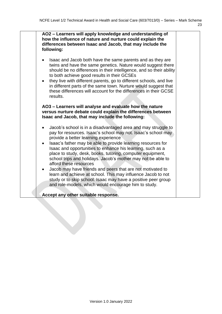| AO2 - Learners will apply knowledge and understanding of<br>how the influence of nature and nurture could explain the<br>differences between Isaac and Jacob, that may include the<br>following:                                                                                                                                                                                                                                                                                                                                                                                                                                                                                                                                                                                                                                                                                                                            |  |
|-----------------------------------------------------------------------------------------------------------------------------------------------------------------------------------------------------------------------------------------------------------------------------------------------------------------------------------------------------------------------------------------------------------------------------------------------------------------------------------------------------------------------------------------------------------------------------------------------------------------------------------------------------------------------------------------------------------------------------------------------------------------------------------------------------------------------------------------------------------------------------------------------------------------------------|--|
| Isaac and Jacob both have the same parents and as they are<br>twins and have the same genetics. Nature would suggest there<br>should be no differences in their intelligence, and so their ability<br>to both achieve good results in their GCSEs<br>they live with different parents, go to different schools, and live<br>in different parts of the same town. Nurture would suggest that<br>these differences will account for the differences in their GCSE<br>results.                                                                                                                                                                                                                                                                                                                                                                                                                                                 |  |
| AO3 - Learners will analyse and evaluate how the nature<br>versus nurture debate could explain the differences between<br>Isaac and Jacob, that may include the following:<br>Jacob's school is in a disadvantaged area and may struggle to<br>pay for resources. Isaac's school may not. Isaac's school may<br>provide a better learning experience<br>Isaac's father may be able to provide learning resources for<br>$\bullet$<br>Isaac and opportunities to enhance his learning, such as a<br>place to study, desk, books, tutoring, computer equipment,<br>school trips and holidays. Jacob's mother may not be able to<br>afford these resources<br>Jacob may have friends and peers that are not motivated to<br>$\bullet$<br>learn and achieve at school. This may influence Jacob to not<br>study or to skip school. Isaac may have a positive peer group<br>and role-models, which would encourage him to study. |  |
| Accept any other suitable response.                                                                                                                                                                                                                                                                                                                                                                                                                                                                                                                                                                                                                                                                                                                                                                                                                                                                                         |  |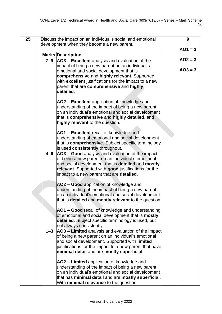| 25 |         | Discuss the impact on an individual's social and emotional<br>development when they become a new parent.   | 9         |
|----|---------|------------------------------------------------------------------------------------------------------------|-----------|
|    |         |                                                                                                            | $AO1 = 3$ |
|    |         | <b>Marks Description</b>                                                                                   |           |
|    |         | 7-9 AO3 - Excellent analysis and evaluation of the<br>impact of being a new parent on an individual's      | $AO2 = 3$ |
|    |         | emotional and social development that is                                                                   | $AO3 = 3$ |
|    |         | comprehensive and highly relevant. Supported                                                               |           |
|    |         | with excellent justifications for the impact to a new                                                      |           |
|    |         | parent that are comprehensive and highly<br>detailed.                                                      |           |
|    |         | AO2 - Excellent application of knowledge and                                                               |           |
|    |         | understanding of the impact of being a new parent                                                          |           |
|    |         | on an individual's emotional and social development                                                        |           |
|    |         | that is comprehensive and highly detailed, and                                                             |           |
|    |         | highly relevant to the question.                                                                           |           |
|    |         | AO1 - Excellent recall of knowledge and                                                                    |           |
|    |         | understanding of emotional and social development                                                          |           |
|    |         | that is <b>comprehensive</b> . Subject specific terminology                                                |           |
|    |         | is used consistently throughout.                                                                           |           |
|    | 4–6     | AO3 - Good analysis and evaluation of the impact<br>of being a new parent on an individual's emotional     |           |
|    |         | and social development that is detailed and mostly                                                         |           |
|    |         | relevant. Supported with good justifications for the                                                       |           |
|    |         | impact to a new parent that are <b>detailed</b> .                                                          |           |
|    |         | AO2 - Good application of knowledge and                                                                    |           |
|    |         | understanding of the impact of being a new parent                                                          |           |
|    |         | on an individual's emotional and social development                                                        |           |
|    |         | that is detailed and mostly relevant to the question.                                                      |           |
|    |         | AO1 - Good recall of knowledge and understanding                                                           |           |
|    |         | of emotional and social development that is <b>mostly</b>                                                  |           |
|    |         | detailed. Subject specific terminology is used, but<br>not always consistently.                            |           |
|    | $1 - 3$ | AO3 - Limited analysis and evaluation of the impact                                                        |           |
|    |         | of being a new parent on an individual's emotional                                                         |           |
|    |         | and social development. Supported with limited                                                             |           |
|    |         | justifications for the impact to a new parent that have                                                    |           |
|    |         | minimal detail and are mostly superficial.                                                                 |           |
|    |         | AO2 – Limited application of knowledge and                                                                 |           |
|    |         | understanding of the impact of being a new parent                                                          |           |
|    |         | on an individual's emotional and social development<br>that has minimal detail and are mostly superficial. |           |
|    |         | With minimal relevance to the question.                                                                    |           |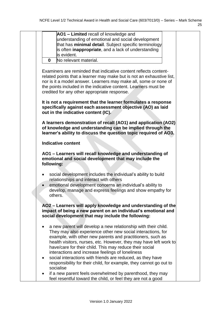| AO1 - Limited recall of knowledge and<br>understanding of emotional and social development<br>that has minimal detail. Subject specific terminology<br>is often inappropriate, and a lack of understanding<br>is evident.<br>No relevant material.<br>$\bf{0}$<br>Examiners are reminded that indicative content reflects content-<br>related points that a learner may make but is not an exhaustive list,<br>nor is it a model answer. Learners may make all, some or none of<br>the points included in the indicative content. Learners must be<br>credited for any other appropriate response.<br>It is not a requirement that the learner formulates a response<br>specifically against each assessment objective (AO) as laid<br>out in the indicative content (IC).<br>A learners demonstration of recall (AO1) and application (AO2)<br>of knowledge and understanding can be implied through the<br>learner's ability to discuss the question topic required of AO3.<br><b>Indicative content</b><br>AO1 - Learners will recall knowledge and understanding of<br>emotional and social development that may include the<br>following:<br>social development includes the individual's ability to build<br>$\bullet$<br>relationships and interact with others<br>emotional development concerns an individual's ability to<br>$\bullet$<br>develop, manage and express feelings and show empathy for<br>others.<br>AO2 – Learners will apply knowledge and understanding of the<br>impact of being a new parent on an individual's emotional and<br>social development that may include the following:<br>a new parent will develop a new relationship with their child.<br>٠<br>They may also experience other new social interactions, for<br>example, with other new parents and practitioners, such as<br>health visitors, nurses, etc. However, they may have left work to |  |  |
|------------------------------------------------------------------------------------------------------------------------------------------------------------------------------------------------------------------------------------------------------------------------------------------------------------------------------------------------------------------------------------------------------------------------------------------------------------------------------------------------------------------------------------------------------------------------------------------------------------------------------------------------------------------------------------------------------------------------------------------------------------------------------------------------------------------------------------------------------------------------------------------------------------------------------------------------------------------------------------------------------------------------------------------------------------------------------------------------------------------------------------------------------------------------------------------------------------------------------------------------------------------------------------------------------------------------------------------------------------------------------------------------------------------------------------------------------------------------------------------------------------------------------------------------------------------------------------------------------------------------------------------------------------------------------------------------------------------------------------------------------------------------------------------------------------------------------------------------------------------------------------------|--|--|
|                                                                                                                                                                                                                                                                                                                                                                                                                                                                                                                                                                                                                                                                                                                                                                                                                                                                                                                                                                                                                                                                                                                                                                                                                                                                                                                                                                                                                                                                                                                                                                                                                                                                                                                                                                                                                                                                                          |  |  |
|                                                                                                                                                                                                                                                                                                                                                                                                                                                                                                                                                                                                                                                                                                                                                                                                                                                                                                                                                                                                                                                                                                                                                                                                                                                                                                                                                                                                                                                                                                                                                                                                                                                                                                                                                                                                                                                                                          |  |  |
|                                                                                                                                                                                                                                                                                                                                                                                                                                                                                                                                                                                                                                                                                                                                                                                                                                                                                                                                                                                                                                                                                                                                                                                                                                                                                                                                                                                                                                                                                                                                                                                                                                                                                                                                                                                                                                                                                          |  |  |
|                                                                                                                                                                                                                                                                                                                                                                                                                                                                                                                                                                                                                                                                                                                                                                                                                                                                                                                                                                                                                                                                                                                                                                                                                                                                                                                                                                                                                                                                                                                                                                                                                                                                                                                                                                                                                                                                                          |  |  |
|                                                                                                                                                                                                                                                                                                                                                                                                                                                                                                                                                                                                                                                                                                                                                                                                                                                                                                                                                                                                                                                                                                                                                                                                                                                                                                                                                                                                                                                                                                                                                                                                                                                                                                                                                                                                                                                                                          |  |  |
|                                                                                                                                                                                                                                                                                                                                                                                                                                                                                                                                                                                                                                                                                                                                                                                                                                                                                                                                                                                                                                                                                                                                                                                                                                                                                                                                                                                                                                                                                                                                                                                                                                                                                                                                                                                                                                                                                          |  |  |
|                                                                                                                                                                                                                                                                                                                                                                                                                                                                                                                                                                                                                                                                                                                                                                                                                                                                                                                                                                                                                                                                                                                                                                                                                                                                                                                                                                                                                                                                                                                                                                                                                                                                                                                                                                                                                                                                                          |  |  |
|                                                                                                                                                                                                                                                                                                                                                                                                                                                                                                                                                                                                                                                                                                                                                                                                                                                                                                                                                                                                                                                                                                                                                                                                                                                                                                                                                                                                                                                                                                                                                                                                                                                                                                                                                                                                                                                                                          |  |  |
|                                                                                                                                                                                                                                                                                                                                                                                                                                                                                                                                                                                                                                                                                                                                                                                                                                                                                                                                                                                                                                                                                                                                                                                                                                                                                                                                                                                                                                                                                                                                                                                                                                                                                                                                                                                                                                                                                          |  |  |
|                                                                                                                                                                                                                                                                                                                                                                                                                                                                                                                                                                                                                                                                                                                                                                                                                                                                                                                                                                                                                                                                                                                                                                                                                                                                                                                                                                                                                                                                                                                                                                                                                                                                                                                                                                                                                                                                                          |  |  |
|                                                                                                                                                                                                                                                                                                                                                                                                                                                                                                                                                                                                                                                                                                                                                                                                                                                                                                                                                                                                                                                                                                                                                                                                                                                                                                                                                                                                                                                                                                                                                                                                                                                                                                                                                                                                                                                                                          |  |  |
|                                                                                                                                                                                                                                                                                                                                                                                                                                                                                                                                                                                                                                                                                                                                                                                                                                                                                                                                                                                                                                                                                                                                                                                                                                                                                                                                                                                                                                                                                                                                                                                                                                                                                                                                                                                                                                                                                          |  |  |
|                                                                                                                                                                                                                                                                                                                                                                                                                                                                                                                                                                                                                                                                                                                                                                                                                                                                                                                                                                                                                                                                                                                                                                                                                                                                                                                                                                                                                                                                                                                                                                                                                                                                                                                                                                                                                                                                                          |  |  |
|                                                                                                                                                                                                                                                                                                                                                                                                                                                                                                                                                                                                                                                                                                                                                                                                                                                                                                                                                                                                                                                                                                                                                                                                                                                                                                                                                                                                                                                                                                                                                                                                                                                                                                                                                                                                                                                                                          |  |  |
|                                                                                                                                                                                                                                                                                                                                                                                                                                                                                                                                                                                                                                                                                                                                                                                                                                                                                                                                                                                                                                                                                                                                                                                                                                                                                                                                                                                                                                                                                                                                                                                                                                                                                                                                                                                                                                                                                          |  |  |
|                                                                                                                                                                                                                                                                                                                                                                                                                                                                                                                                                                                                                                                                                                                                                                                                                                                                                                                                                                                                                                                                                                                                                                                                                                                                                                                                                                                                                                                                                                                                                                                                                                                                                                                                                                                                                                                                                          |  |  |
|                                                                                                                                                                                                                                                                                                                                                                                                                                                                                                                                                                                                                                                                                                                                                                                                                                                                                                                                                                                                                                                                                                                                                                                                                                                                                                                                                                                                                                                                                                                                                                                                                                                                                                                                                                                                                                                                                          |  |  |
|                                                                                                                                                                                                                                                                                                                                                                                                                                                                                                                                                                                                                                                                                                                                                                                                                                                                                                                                                                                                                                                                                                                                                                                                                                                                                                                                                                                                                                                                                                                                                                                                                                                                                                                                                                                                                                                                                          |  |  |
|                                                                                                                                                                                                                                                                                                                                                                                                                                                                                                                                                                                                                                                                                                                                                                                                                                                                                                                                                                                                                                                                                                                                                                                                                                                                                                                                                                                                                                                                                                                                                                                                                                                                                                                                                                                                                                                                                          |  |  |
|                                                                                                                                                                                                                                                                                                                                                                                                                                                                                                                                                                                                                                                                                                                                                                                                                                                                                                                                                                                                                                                                                                                                                                                                                                                                                                                                                                                                                                                                                                                                                                                                                                                                                                                                                                                                                                                                                          |  |  |
|                                                                                                                                                                                                                                                                                                                                                                                                                                                                                                                                                                                                                                                                                                                                                                                                                                                                                                                                                                                                                                                                                                                                                                                                                                                                                                                                                                                                                                                                                                                                                                                                                                                                                                                                                                                                                                                                                          |  |  |
|                                                                                                                                                                                                                                                                                                                                                                                                                                                                                                                                                                                                                                                                                                                                                                                                                                                                                                                                                                                                                                                                                                                                                                                                                                                                                                                                                                                                                                                                                                                                                                                                                                                                                                                                                                                                                                                                                          |  |  |
|                                                                                                                                                                                                                                                                                                                                                                                                                                                                                                                                                                                                                                                                                                                                                                                                                                                                                                                                                                                                                                                                                                                                                                                                                                                                                                                                                                                                                                                                                                                                                                                                                                                                                                                                                                                                                                                                                          |  |  |
|                                                                                                                                                                                                                                                                                                                                                                                                                                                                                                                                                                                                                                                                                                                                                                                                                                                                                                                                                                                                                                                                                                                                                                                                                                                                                                                                                                                                                                                                                                                                                                                                                                                                                                                                                                                                                                                                                          |  |  |
|                                                                                                                                                                                                                                                                                                                                                                                                                                                                                                                                                                                                                                                                                                                                                                                                                                                                                                                                                                                                                                                                                                                                                                                                                                                                                                                                                                                                                                                                                                                                                                                                                                                                                                                                                                                                                                                                                          |  |  |
|                                                                                                                                                                                                                                                                                                                                                                                                                                                                                                                                                                                                                                                                                                                                                                                                                                                                                                                                                                                                                                                                                                                                                                                                                                                                                                                                                                                                                                                                                                                                                                                                                                                                                                                                                                                                                                                                                          |  |  |
|                                                                                                                                                                                                                                                                                                                                                                                                                                                                                                                                                                                                                                                                                                                                                                                                                                                                                                                                                                                                                                                                                                                                                                                                                                                                                                                                                                                                                                                                                                                                                                                                                                                                                                                                                                                                                                                                                          |  |  |
|                                                                                                                                                                                                                                                                                                                                                                                                                                                                                                                                                                                                                                                                                                                                                                                                                                                                                                                                                                                                                                                                                                                                                                                                                                                                                                                                                                                                                                                                                                                                                                                                                                                                                                                                                                                                                                                                                          |  |  |
| have/care for their child. This may reduce their social                                                                                                                                                                                                                                                                                                                                                                                                                                                                                                                                                                                                                                                                                                                                                                                                                                                                                                                                                                                                                                                                                                                                                                                                                                                                                                                                                                                                                                                                                                                                                                                                                                                                                                                                                                                                                                  |  |  |
| interactions and increase feelings of loneliness                                                                                                                                                                                                                                                                                                                                                                                                                                                                                                                                                                                                                                                                                                                                                                                                                                                                                                                                                                                                                                                                                                                                                                                                                                                                                                                                                                                                                                                                                                                                                                                                                                                                                                                                                                                                                                         |  |  |
| social interactions with friends are reduced, as they have<br>$\bullet$                                                                                                                                                                                                                                                                                                                                                                                                                                                                                                                                                                                                                                                                                                                                                                                                                                                                                                                                                                                                                                                                                                                                                                                                                                                                                                                                                                                                                                                                                                                                                                                                                                                                                                                                                                                                                  |  |  |
| responsibility for their child, for example, they cannot go out to                                                                                                                                                                                                                                                                                                                                                                                                                                                                                                                                                                                                                                                                                                                                                                                                                                                                                                                                                                                                                                                                                                                                                                                                                                                                                                                                                                                                                                                                                                                                                                                                                                                                                                                                                                                                                       |  |  |
| socialise                                                                                                                                                                                                                                                                                                                                                                                                                                                                                                                                                                                                                                                                                                                                                                                                                                                                                                                                                                                                                                                                                                                                                                                                                                                                                                                                                                                                                                                                                                                                                                                                                                                                                                                                                                                                                                                                                |  |  |
| if a new parent feels overwhelmed by parenthood, they may                                                                                                                                                                                                                                                                                                                                                                                                                                                                                                                                                                                                                                                                                                                                                                                                                                                                                                                                                                                                                                                                                                                                                                                                                                                                                                                                                                                                                                                                                                                                                                                                                                                                                                                                                                                                                                |  |  |
| feel resentful toward the child, or feel they are not a good                                                                                                                                                                                                                                                                                                                                                                                                                                                                                                                                                                                                                                                                                                                                                                                                                                                                                                                                                                                                                                                                                                                                                                                                                                                                                                                                                                                                                                                                                                                                                                                                                                                                                                                                                                                                                             |  |  |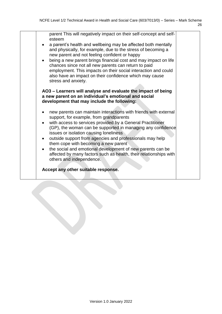| ٠                                   | parent This will negatively impact on their self-concept and self-<br>esteem<br>a parent's health and wellbeing may be affected both mentally<br>and physically, for example, due to the stress of becoming a<br>new parent and not feeling confident or happy<br>being a new parent brings financial cost and may impact on life<br>chances since not all new parents can return to paid<br>employment. This impacts on their social interaction and could<br>also have an impact on their confidence which may cause<br>stress and anxiety.         |
|-------------------------------------|-------------------------------------------------------------------------------------------------------------------------------------------------------------------------------------------------------------------------------------------------------------------------------------------------------------------------------------------------------------------------------------------------------------------------------------------------------------------------------------------------------------------------------------------------------|
|                                     | AO3 - Learners will analyse and evaluate the impact of being<br>a new parent on an individual's emotional and social<br>development that may include the following:                                                                                                                                                                                                                                                                                                                                                                                   |
| $\bullet$<br>$\bullet$<br>$\bullet$ | new parents can maintain interactions with friends with external<br>support, for example, from grandparents<br>with access to services provided by a General Practitioner<br>(GP), the woman can be supported in managing any confidence<br>issues or isolation causing loneliness<br>outside support from agencies and professionals may help<br>them cope with becoming a new parent<br>the social and emotional development of new parents can be<br>affected by many factors such as health, their relationships with<br>others and independence. |
|                                     |                                                                                                                                                                                                                                                                                                                                                                                                                                                                                                                                                       |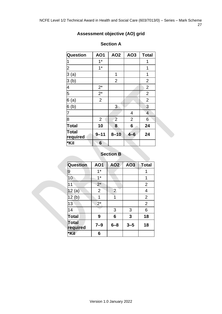### **Assessment objective (AO) grid**

| <b>Question</b>          | AO1             | AO <sub>2</sub> | AO <sub>3</sub> | <b>Total</b>             |
|--------------------------|-----------------|-----------------|-----------------|--------------------------|
| 1                        | $1*$            |                 |                 | 1                        |
| $\overline{c}$           | $1*$            |                 |                 | 1                        |
| 3(a)                     |                 | 1               |                 | 1                        |
| 3(b)                     |                 | $\overline{2}$  |                 | $\overline{2}$           |
| 4                        | $2^*$           |                 |                 | $\overline{2}$           |
| 5                        | $2^*$           |                 |                 | $\overline{2}$           |
| 6(a)                     | $\overline{2}$  |                 |                 | $\overline{2}$           |
| 6 <sub>(b)</sub>         |                 | 3               |                 | 3                        |
| 7                        |                 |                 | 4               | $\overline{\mathcal{L}}$ |
| $\overline{8}$           | $\overline{2}$  | $\overline{2}$  | $\overline{2}$  | 6                        |
| <b>Total</b>             | 10              | 8               | 6               | 24                       |
| <b>Total</b><br>required | $9 - 11$        | $8 - 10$        | $4 - 6$         | 24                       |
| *Kil                     | $6\phantom{1}6$ |                 |                 |                          |

#### **Section A**

#### **Section B**

| <b>Question</b>   | <b>AO1</b>     | <b>AO2</b>     | AO3     | <b>Total</b>   |
|-------------------|----------------|----------------|---------|----------------|
| 9                 | $1*$           |                |         | 1              |
| 10                | $1^*$          |                |         | 1              |
| 11                | $2^*$          |                |         | $\overline{2}$ |
| 12(a)             | $\overline{2}$ | $\overline{2}$ |         | $\overline{4}$ |
| 12(b)             | 1              | 1              |         | $\overline{2}$ |
| 13                | $2^*$          |                |         | $\overline{2}$ |
| 14                |                | 3              | 3       | 6              |
| <b>Total</b>      | 9              | 6              | 3       | 18             |
| Total<br>required | $7 - 9$        | $6 - 8$        | $3 - 5$ | 18             |
| *Kil              | 6              |                |         |                |

Version 1.0 January 2022